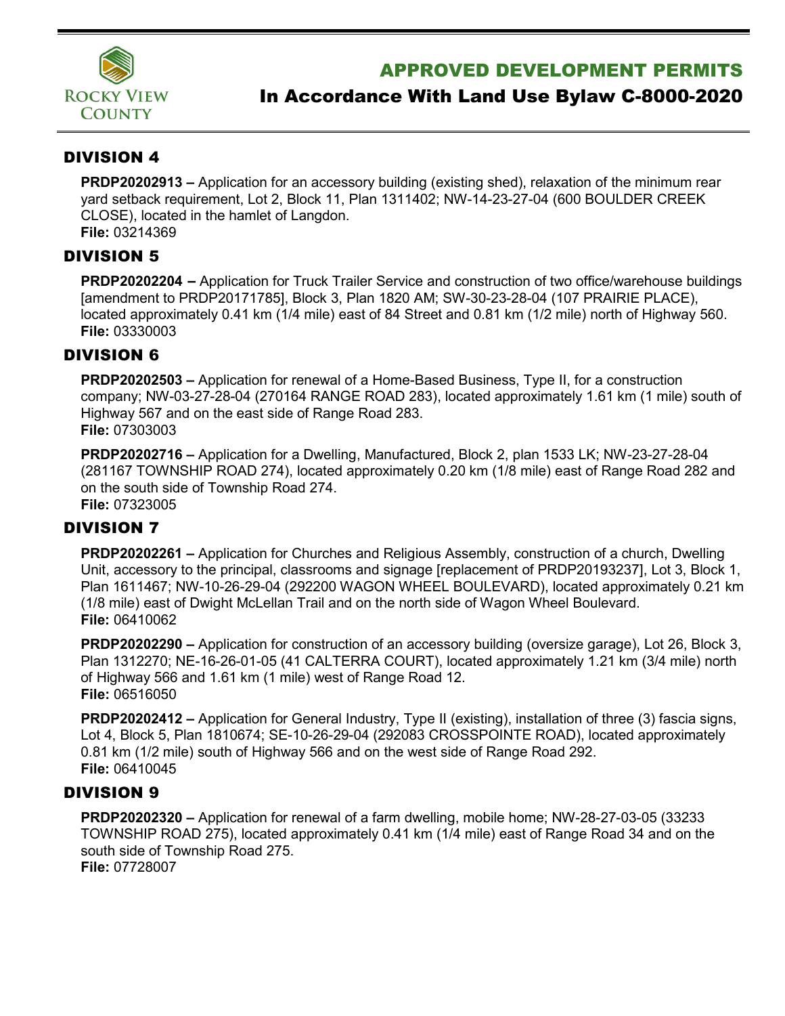

# APPROVED DEVELOPMENT PERMITS

# In Accordance With Land Use Bylaw C-8000-2020

## DIVISION 4

**PRDP20202913 –** Application for an accessory building (existing shed), relaxation of the minimum rear yard setback requirement, Lot 2, Block 11, Plan 1311402; NW-14-23-27-04 (600 BOULDER CREEK CLOSE), located in the hamlet of Langdon. **File:** 03214369

### DIVISION 5

**PRDP20202204** – Application for Truck Trailer Service and construction of two office/warehouse buildings [amendment to PRDP20171785], Block 3, Plan 1820 AM; SW-30-23-28-04 (107 PRAIRIE PLACE), located approximately 0.41 km (1/4 mile) east of 84 Street and 0.81 km (1/2 mile) north of Highway 560. **File:** 03330003

### DIVISION 6

**PRDP20202503 –** Application for renewal of a Home-Based Business, Type II, for a construction company; NW-03-27-28-04 (270164 RANGE ROAD 283), located approximately 1.61 km (1 mile) south of Highway 567 and on the east side of Range Road 283. **File:** 07303003

**PRDP20202716 –** Application for a Dwelling, Manufactured, Block 2, plan 1533 LK; NW-23-27-28-04 (281167 TOWNSHIP ROAD 274), located approximately 0.20 km (1/8 mile) east of Range Road 282 and on the south side of Township Road 274. **File:** 07323005

# DIVISION 7

**PRDP20202261 –** Application for Churches and Religious Assembly, construction of a church, Dwelling Unit, accessory to the principal, classrooms and signage [replacement of PRDP20193237], Lot 3, Block 1, Plan 1611467; NW-10-26-29-04 (292200 WAGON WHEEL BOULEVARD), located approximately 0.21 km (1/8 mile) east of Dwight McLellan Trail and on the north side of Wagon Wheel Boulevard. **File:** 06410062

**PRDP20202290 –** Application for construction of an accessory building (oversize garage), Lot 26, Block 3, Plan 1312270; NE-16-26-01-05 (41 CALTERRA COURT), located approximately 1.21 km (3/4 mile) north of Highway 566 and 1.61 km (1 mile) west of Range Road 12. **File:** 06516050

**PRDP20202412 –** Application for General Industry, Type II (existing), installation of three (3) fascia signs, Lot 4, Block 5, Plan 1810674; SE-10-26-29-04 (292083 CROSSPOINTE ROAD), located approximately 0.81 km (1/2 mile) south of Highway 566 and on the west side of Range Road 292. **File:** 06410045

# DIVISION 9

**PRDP20202320 –** Application for renewal of a farm dwelling, mobile home; NW-28-27-03-05 (33233 TOWNSHIP ROAD 275), located approximately 0.41 km (1/4 mile) east of Range Road 34 and on the south side of Township Road 275. **File:** 07728007